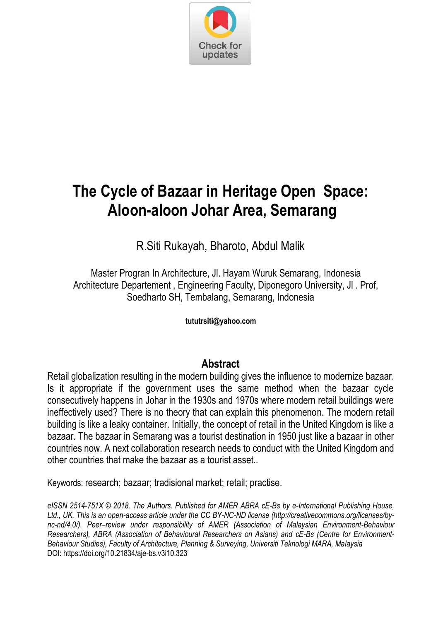

# **The Cycle of Bazaar in Heritage Open Space: Aloon-aloon Johar Area, Semarang**

R.Siti Rukayah, Bharoto, Abdul Malik

Master Progran In Architecture, Jl. Hayam Wuruk Semarang, Indonesia Architecture Departement , Engineering Faculty, Diponegoro University, Jl . Prof, Soedharto SH, Tembalang, Semarang, Indonesia

**tututrsiti@yahoo.com**

### **Abstract**

Retail globalization resulting in the modern building gives the influence to modernize bazaar. Is it appropriate if the government uses the same method when the bazaar cycle consecutively happens in Johar in the 1930s and 1970s where modern retail buildings were ineffectively used? There is no theory that can explain this phenomenon. The modern retail building is like a leaky container. Initially, the concept of retail in the United Kingdom is like a bazaar. The bazaar in Semarang was a tourist destination in 1950 just like a bazaar in other countries now. A next collaboration research needs to conduct with the United Kingdom and other countries that make the bazaar as a tourist asset..

Keywords: research; bazaar; tradisional market; retail; practise.

*eISSN 2514-751X © 2018. The Authors. Published for AMER ABRA cE-Bs by e-International Publishing House, Ltd., UK. This is an open-access article under the CC BY-NC-ND license (http://creativecommons.org/licenses/bync-nd/4.0/). Peer–review under responsibility of AMER (Association of Malaysian Environment-Behaviour Researchers), ABRA (Association of Behavioural Researchers on Asians) and cE-Bs (Centre for Environment-Behaviour Studies), Faculty of Architecture, Planning & Surveying, Universiti Teknologi MARA, Malaysia*  DOI: https://doi.org/10.21834/aje-bs.v3i10.323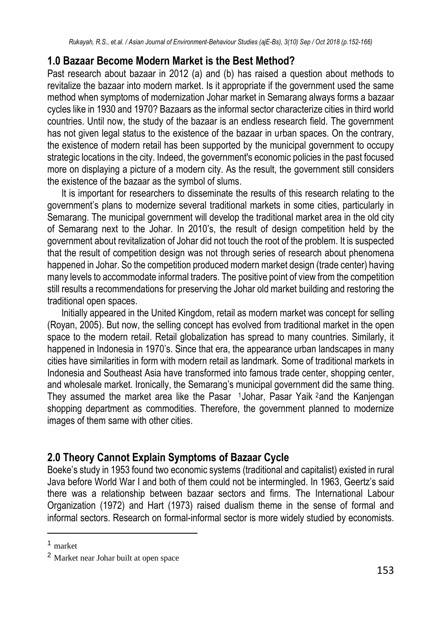## **1.0 Bazaar Become Modern Market is the Best Method?**

Past research about bazaar in 2012 (a) and (b) has raised a question about methods to revitalize the bazaar into modern market. Is it appropriate if the government used the same method when symptoms of modernization Johar market in Semarang always forms a bazaar cycles like in 1930 and 1970? Bazaars as the informal sector characterize cities in third world countries. Until now, the study of the bazaar is an endless research field. The government has not given legal status to the existence of the bazaar in urban spaces. On the contrary, the existence of modern retail has been supported by the municipal government to occupy strategic locations in the city. Indeed, the government's economic policies in the past focused more on displaying a picture of a modern city. As the result, the government still considers the existence of the bazaar as the symbol of slums.

It is important for researchers to disseminate the results of this research relating to the government's plans to modernize several traditional markets in some cities, particularly in Semarang. The municipal government will develop the traditional market area in the old city of Semarang next to the Johar. In 2010's, the result of design competition held by the government about revitalization of Johar did not touch the root of the problem. It is suspected that the result of competition design was not through series of research about phenomena happened in Johar. So the competition produced modern market design (trade center) having many levels to accommodate informal traders. The positive point of view from the competition still results a recommendations for preserving the Johar old market building and restoring the traditional open spaces.

Initially appeared in the United Kingdom, retail as modern market was concept for selling (Royan, 2005). But now, the selling concept has evolved from traditional market in the open space to the modern retail. Retail globalization has spread to many countries. Similarly, it happened in Indonesia in 1970's. Since that era, the appearance urban landscapes in many cities have similarities in form with modern retail as landmark. Some of traditional markets in Indonesia and Southeast Asia have transformed into famous trade center, shopping center, and wholesale market. Ironically, the Semarang's municipal government did the same thing. They assumed the market area like the Pasar 1Johar, Pasar Yaik <sup>2</sup>and the Kanjengan shopping department as commodities. Therefore, the government planned to modernize images of them same with other cities.

# **2.0 Theory Cannot Explain Symptoms of Bazaar Cycle**

Boeke's study in 1953 found two economic systems (traditional and capitalist) existed in rural Java before World War I and both of them could not be intermingled. In 1963, Geertz's said there was a relationship between bazaar sectors and firms. The International Labour Organization (1972) and Hart (1973) raised dualism theme in the sense of formal and informal sectors. Research on formal-informal sector is more widely studied by economists.

**.** 

<sup>1</sup> market

<sup>2</sup> Market near Johar built at open space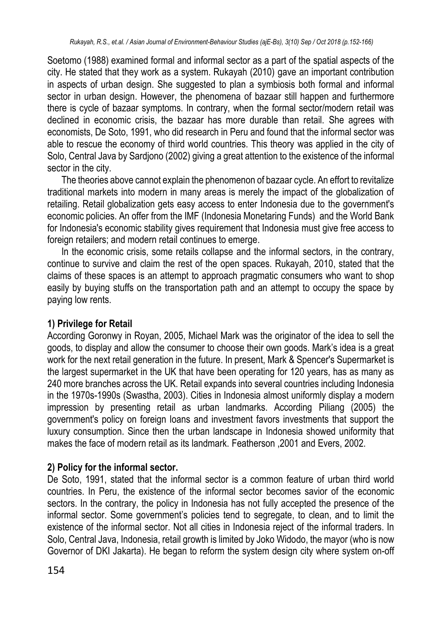Soetomo (1988) examined formal and informal sector as a part of the spatial aspects of the city. He stated that they work as a system. Rukayah (2010) gave an important contribution in aspects of urban design. She suggested to plan a symbiosis both formal and informal sector in urban design. However, the phenomena of bazaar still happen and furthermore there is cycle of bazaar symptoms. In contrary, when the formal sector/modern retail was declined in economic crisis, the bazaar has more durable than retail. She agrees with economists, De Soto, 1991, who did research in Peru and found that the informal sector was able to rescue the economy of third world countries. This theory was applied in the city of Solo, Central Java by Sardjono (2002) giving a great attention to the existence of the informal sector in the city.

The theories above cannot explain the phenomenon of bazaar cycle. An effort to revitalize traditional markets into modern in many areas is merely the impact of the globalization of retailing. Retail globalization gets easy access to enter Indonesia due to the government's economic policies. An offer from the IMF (Indonesia Monetaring Funds) and the World Bank for Indonesia's economic stability gives requirement that Indonesia must give free access to foreign retailers; and modern retail continues to emerge.

In the economic crisis, some retails collapse and the informal sectors, in the contrary, continue to survive and claim the rest of the open spaces. Rukayah, 2010, stated that the claims of these spaces is an attempt to approach pragmatic consumers who want to shop easily by buying stuffs on the transportation path and an attempt to occupy the space by paying low rents.

### **1) Privilege for Retail**

According Goronwy in Royan, 2005, Michael Mark was the originator of the idea to sell the goods, to display and allow the consumer to choose their own goods. Mark's idea is a great work for the next retail generation in the future. In present, Mark & Spencer's Supermarket is the largest supermarket in the UK that have been operating for 120 years, has as many as 240 more branches across the UK. Retail expands into several countries including Indonesia in the 1970s-1990s (Swastha, 2003). Cities in Indonesia almost uniformly display a modern impression by presenting retail as urban landmarks. According Piliang (2005) the government's policy on foreign loans and investment favors investments that support the luxury consumption. Since then the urban landscape in Indonesia showed uniformity that makes the face of modern retail as its landmark. Featherson ,2001 and Evers, 2002.

### **2) Policy for the informal sector.**

De Soto, 1991, stated that the informal sector is a common feature of urban third world countries. In Peru, the existence of the informal sector becomes savior of the economic sectors. In the contrary, the policy in Indonesia has not fully accepted the presence of the informal sector. Some government's policies tend to segregate, to clean, and to limit the existence of the informal sector. Not all cities in Indonesia reject of the informal traders. In Solo, Central Java, Indonesia, retail growth is limited by Joko Widodo, the mayor (who is now Governor of DKI Jakarta). He began to reform the system design city where system on-off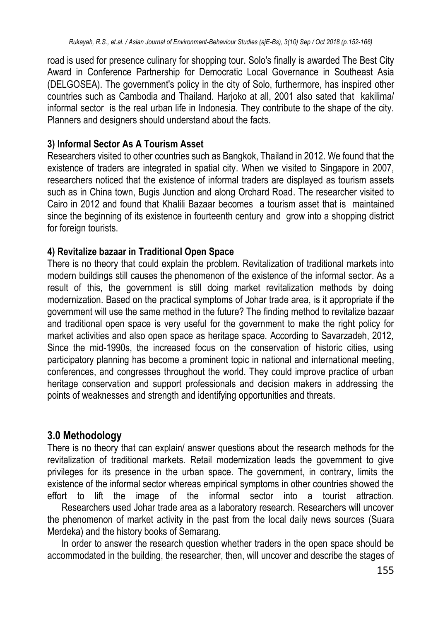road is used for presence culinary for shopping tour. Solo's finally is awarded The Best City Award in Conference Partnership for Democratic Local Governance in Southeast Asia (DELGOSEA). The government's policy in the city of Solo, furthermore, has inspired other countries such as Cambodia and Thailand. Harjoko at all, 2001 also sated that kakilima/ informal sector is the real urban life in Indonesia. They contribute to the shape of the city. Planners and designers should understand about the facts.

#### **3) Informal Sector As A Tourism Asset**

Researchers visited to other countries such as Bangkok, Thailand in 2012. We found that the existence of traders are integrated in spatial city. When we visited to Singapore in 2007, researchers noticed that the existence of informal traders are displayed as tourism assets such as in China town, Bugis Junction and along Orchard Road. The researcher visited to Cairo in 2012 and found that Khalili Bazaar becomes a tourism asset that is maintained since the beginning of its existence in fourteenth century and grow into a shopping district for foreign tourists.

### **4) Revitalize bazaar in Traditional Open Space**

There is no theory that could explain the problem. Revitalization of traditional markets into modern buildings still causes the phenomenon of the existence of the informal sector. As a result of this, the government is still doing market revitalization methods by doing modernization. Based on the practical symptoms of Johar trade area, is it appropriate if the government will use the same method in the future? The finding method to revitalize bazaar and traditional open space is very useful for the government to make the right policy for market activities and also open space as heritage space. According to Savarzadeh, 2012, Since the mid-1990s, the increased focus on the conservation of historic cities, using participatory planning has become a prominent topic in national and international meeting, conferences, and congresses throughout the world. They could improve practice of urban heritage conservation and support professionals and decision makers in addressing the points of weaknesses and strength and identifying opportunities and threats.

### **3.0 Methodology**

There is no theory that can explain/ answer questions about the research methods for the revitalization of traditional markets. Retail modernization leads the government to give privileges for its presence in the urban space. The government, in contrary, limits the existence of the informal sector whereas empirical symptoms in other countries showed the effort to lift the image of the informal sector into a tourist attraction.

 Researchers used Johar trade area as a laboratory research. Researchers will uncover the phenomenon of market activity in the past from the local daily news sources (Suara Merdeka) and the history books of Semarang.

In order to answer the research question whether traders in the open space should be accommodated in the building, the researcher, then, will uncover and describe the stages of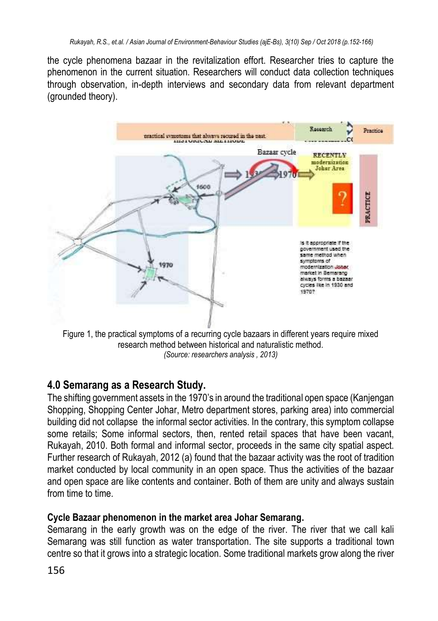the cycle phenomena bazaar in the revitalization effort. Researcher tries to capture the phenomenon in the current situation. Researchers will conduct data collection techniques through observation, in-depth interviews and secondary data from relevant department (grounded theory).



Figure 1, the practical symptoms of a recurring cycle bazaars in different years require mixed research method between historical and naturalistic method. *(Source: researchers analysis , 2013)*

### **4.0 Semarang as a Research Study.**

The shifting government assets in the 1970's in around the traditional open space (Kanjengan Shopping, Shopping Center Johar, Metro department stores, parking area) into commercial building did not collapse the informal sector activities. In the contrary, this symptom collapse some retails; Some informal sectors, then, rented retail spaces that have been vacant, Rukayah, 2010. Both formal and informal sector, proceeds in the same city spatial aspect. Further research of Rukayah, 2012 (a) found that the bazaar activity was the root of tradition market conducted by local community in an open space. Thus the activities of the bazaar and open space are like contents and container. Both of them are unity and always sustain from time to time.

### **Cycle Bazaar phenomenon in the market area Johar Semarang.**

Semarang in the early growth was on the edge of the river. The river that we call kali Semarang was still function as water transportation. The site supports a traditional town centre so that it grows into a strategic location. Some traditional markets grow along the river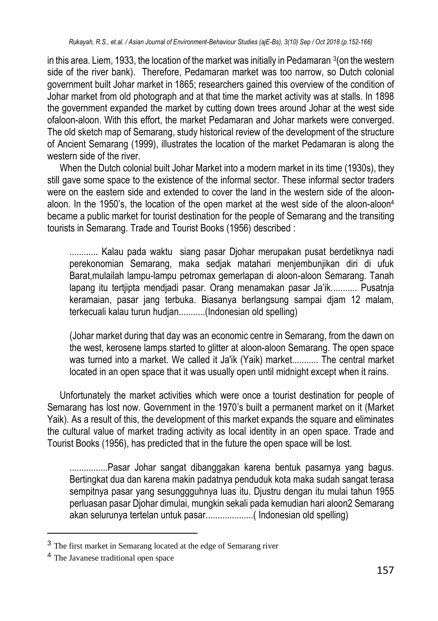in this area. Liem, 1933, the location of the market was initially in Pedamaran <sup>3</sup> (on the western side of the river bank). Therefore, Pedamaran market was too narrow, so Dutch colonial government built Johar market in 1865; researchers gained this overview of the condition of Johar market from old photograph and at that time the market activity was at stalls. In 1898 the government expanded the market by cutting down trees around Johar at the west side ofaloon-aloon. With this effort, the market Pedamaran and Johar markets were converged. The old sketch map of Semarang, study historical review of the development of the structure of Ancient Semarang (1999), illustrates the location of the market Pedamaran is along the western side of the river

When the Dutch colonial built Johar Market into a modern market in its time (1930s), they still gave some space to the existence of the informal sector. These informal sector traders were on the eastern side and extended to cover the land in the western side of the aloonaloon. In the 1950's, the location of the open market at the west side of the aloon-aloon<sup>4</sup> became a public market for tourist destination for the people of Semarang and the transiting tourists in Semarang. Trade and Tourist Books (1956) described :

............ Kalau pada waktu siang pasar Djohar merupakan pusat berdetiknya nadi perekonomian Semarang, maka sedjak matahari menjembunjikan diri di ufuk Barat,mulailah lampu-lampu petromax gemerlapan di aloon-aloon Semarang. Tanah lapang itu tertjipta mendjadi pasar. Orang menamakan pasar Ja'ik........... Pusatnja keramaian, pasar jang terbuka. Biasanya berlangsung sampai djam 12 malam, terkecuali kalau turun hudjan...........(Indonesian old spelling)

(Johar market during that day was an economic centre in Semarang, from the dawn on the west, kerosene lamps started to glitter at aloon-aloon Semarang. The open space was turned into a market. We called it Ja'ik (Yaik) market........... The central market located in an open space that it was usually open until midnight except when it rains.

Unfortunately the market activities which were once a tourist destination for people of Semarang has lost now. Government in the 1970's built a permanent market on it (Market Yaik). As a result of this, the development of this market expands the square and eliminates the cultural value of market trading activity as local identity in an open space. Trade and Tourist Books (1956), has predicted that in the future the open space will be lost.

................Pasar Johar sangat dibanggakan karena bentuk pasarnya yang bagus. Bertingkat dua dan karena makin padatnya penduduk kota maka sudah sangat terasa sempitnya pasar yang sesunggguhnya luas itu. Djustru dengan itu mulai tahun 1955 perluasan pasar Djohar dimulai, mungkin sekali pada kemudian hari aloon2 Semarang akan selurunya tertelan untuk pasar....................( Indonesian old spelling)

**.** 

<sup>3</sup> The first market in Semarang located at the edge of Semarang river

<sup>4</sup> The Javanese traditional open space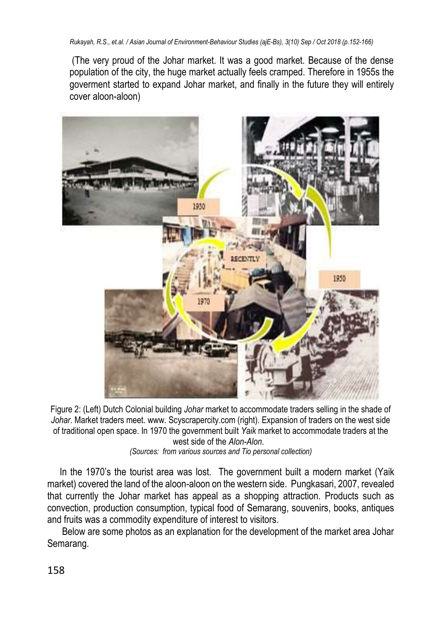(The very proud of the Johar market. It was a good market. Because of the dense population of the city, the huge market actually feels cramped. Therefore in 1955s the goverment started to expand Johar market, and finally in the future they will entirely cover aloon-aloon)



Figure 2: (Left) Dutch Colonial building *Johar* market to accommodate traders selling in the shade of *Johar*. Market traders meet. www. Scyscrapercity.com (right). Expansion of traders on the west side of traditional open space. In 1970 the government built *Yaik* market to accommodate traders at the west side of the *Alon-Alon*.

*(Sources: from various sources and Tio personal collection)*

In the 1970's the tourist area was lost. The government built a modern market (Yaik market) covered the land of the aloon-aloon on the western side. Pungkasari, 2007, revealed that currently the Johar market has appeal as a shopping attraction. Products such as convection, production consumption, typical food of Semarang, souvenirs, books, antiques and fruits was a commodity expenditure of interest to visitors.

Below are some photos as an explanation for the development of the market area Johar Semarang.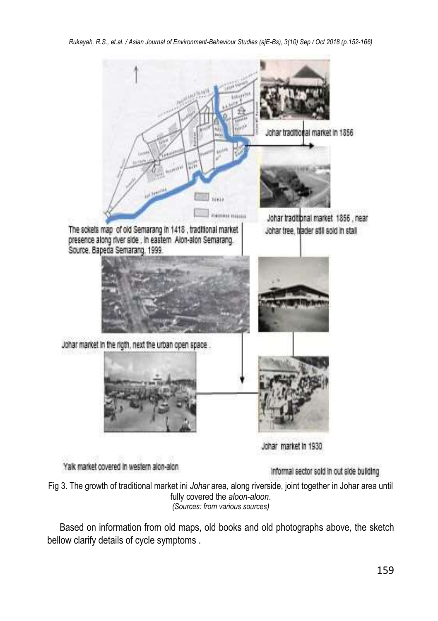*Rukayah, R.S., et.al. / Asian Journal of Environment-Behaviour Studies (ajE-Bs), 3(10) Sep / Oct 2018 (p.152-166)*



Yalk market covered in western alon-alon.

Informal sector sold in out side building

Fig 3. The growth of traditional market ini *Johar* area, along riverside, joint together in Johar area until fully covered the *aloon-aloon*. *(Sources: from various sources)*

Based on information from old maps, old books and old photographs above, the sketch bellow clarify details of cycle symptoms .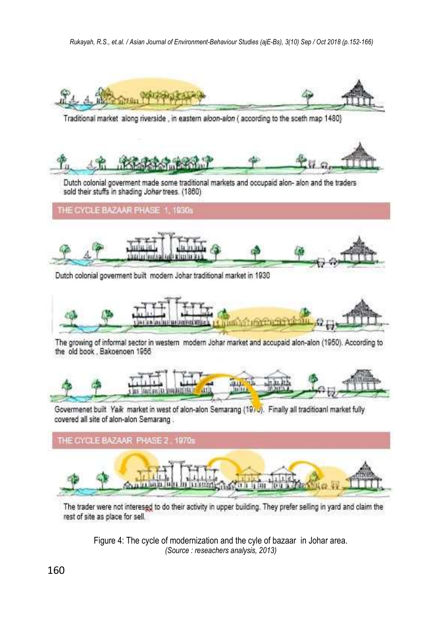

Traditional market along riverside, in eastern aloon-alon (according to the sceth map 1480)



Dutch colonial goverment made some traditional markets and occupaid alon- alon and the traders sold their stuffs in shading Johar trees. (1860)

THE CYCLE BAZAAR PHASE 1, 1930s



Dutch colonial government built modern Johar traditional market in 1930



The growing of informal sector in western modern Johar market and accupaid alon-alon (1950). According to the old book . Bakoenoen 1956



Govermenet built Yaik market in west of alon-alon Semarang (1970). Finally all traditioanl market fully covered all site of alon-alon Semarang.



The trader were not interesed to do their activity in upper building. They prefer selling in yard and claim the rest of site as place for sell.

Figure 4: The cycle of modernization and the cyle of bazaar in Johar area. *(Source : reseachers analysis, 2013)*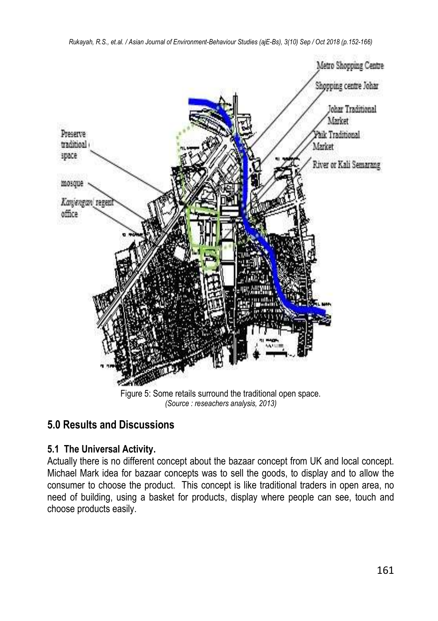

*(Source : reseachers analysis, 2013)*

# **5.0 Results and Discussions**

### **5.1 The Universal Activity.**

Actually there is no different concept about the bazaar concept from UK and local concept. Michael Mark idea for bazaar concepts was to sell the goods, to display and to allow the consumer to choose the product. This concept is like traditional traders in open area, no need of building, using a basket for products, display where people can see, touch and choose products easily.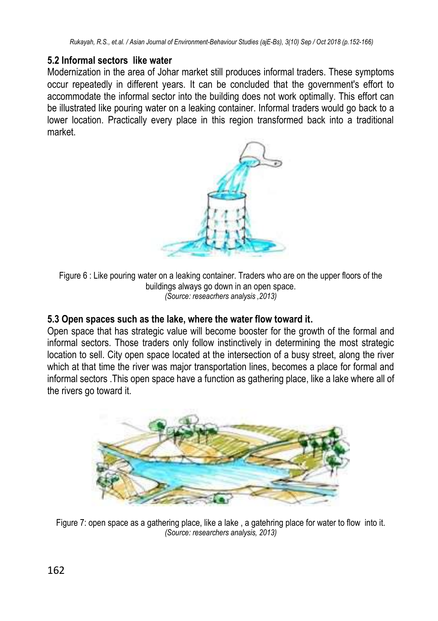#### **5.2 Informal sectors like water**

Modernization in the area of Johar market still produces informal traders. These symptoms occur repeatedly in different years. It can be concluded that the government's effort to accommodate the informal sector into the building does not work optimally. This effort can be illustrated like pouring water on a leaking container. Informal traders would go back to a lower location. Practically every place in this region transformed back into a traditional market.



Figure 6 : Like pouring water on a leaking container. Traders who are on the upper floors of the buildings always go down in an open space. *(Source: reseacrhers analysis ,2013)*

#### **5.3 Open spaces such as the lake, where the water flow toward it.**

Open space that has strategic value will become booster for the growth of the formal and informal sectors. Those traders only follow instinctively in determining the most strategic location to sell. City open space located at the intersection of a busy street, along the river which at that time the river was major transportation lines, becomes a place for formal and informal sectors .This open space have a function as gathering place, like a lake where all of the rivers go toward it.



Figure 7: open space as a gathering place, like a lake, a gatehring place for water to flow into it. *(Source: researchers analysis, 2013)*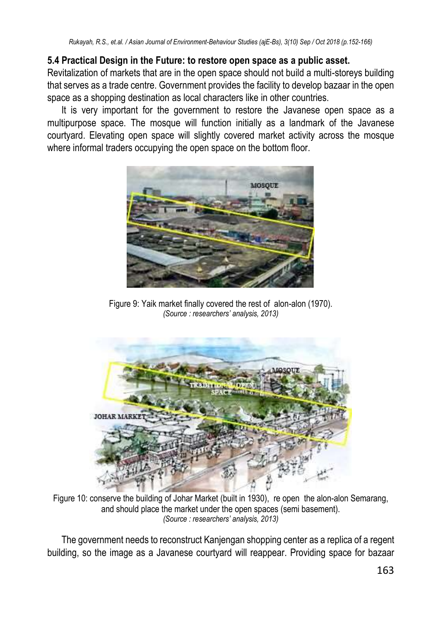#### **5.4 Practical Design in the Future: to restore open space as a public asset.**

Revitalization of markets that are in the open space should not build a multi-storeys building that serves as a trade centre. Government provides the facility to develop bazaar in the open space as a shopping destination as local characters like in other countries.

It is very important for the government to restore the Javanese open space as a multipurpose space. The mosque will function initially as a landmark of the Javanese courtyard. Elevating open space will slightly covered market activity across the mosque where informal traders occupying the open space on the bottom floor.



Figure 9: Yaik market finally covered the rest of alon-alon (1970). *(Source : researchers' analysis, 2013)*



Figure 10: conserve the building of Johar Market (built in 1930), re open the alon-alon Semarang, and should place the market under the open spaces (semi basement). *(Source : researchers' analysis, 2013)*

The government needs to reconstruct Kanjengan shopping center as a replica of a regent building, so the image as a Javanese courtyard will reappear. Providing space for bazaar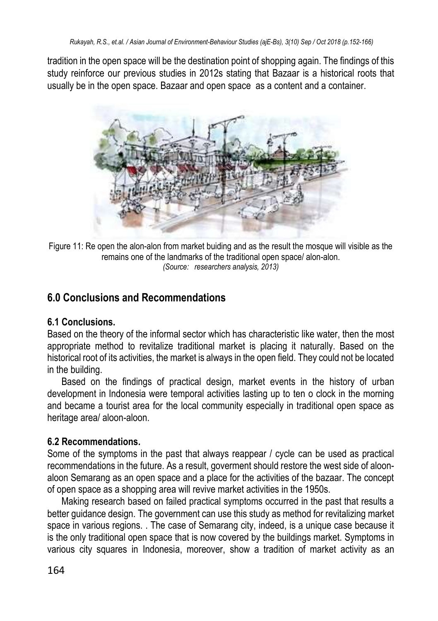tradition in the open space will be the destination point of shopping again. The findings of this study reinforce our previous studies in 2012s stating that Bazaar is a historical roots that usually be in the open space. Bazaar and open space as a content and a container.



Figure 11: Re open the alon-alon from market buiding and as the result the mosque will visible as the remains one of the landmarks of the traditional open space/ alon-alon. *(Source: researchers analysis, 2013)*

# **6.0 Conclusions and Recommendations**

### **6.1 Conclusions.**

Based on the theory of the informal sector which has characteristic like water, then the most appropriate method to revitalize traditional market is placing it naturally. Based on the historical root of its activities, the market is always in the open field. They could not be located in the building.

Based on the findings of practical design, market events in the history of urban development in Indonesia were temporal activities lasting up to ten o clock in the morning and became a tourist area for the local community especially in traditional open space as heritage area/ aloon-aloon.

### **6.2 Recommendations.**

Some of the symptoms in the past that always reappear / cycle can be used as practical recommendations in the future. As a result, goverment should restore the west side of aloonaloon Semarang as an open space and a place for the activities of the bazaar. The concept of open space as a shopping area will revive market activities in the 1950s.

Making research based on failed practical symptoms occurred in the past that results a better guidance design. The government can use this study as method for revitalizing market space in various regions. . The case of Semarang city, indeed, is a unique case because it is the only traditional open space that is now covered by the buildings market. Symptoms in various city squares in Indonesia, moreover, show a tradition of market activity as an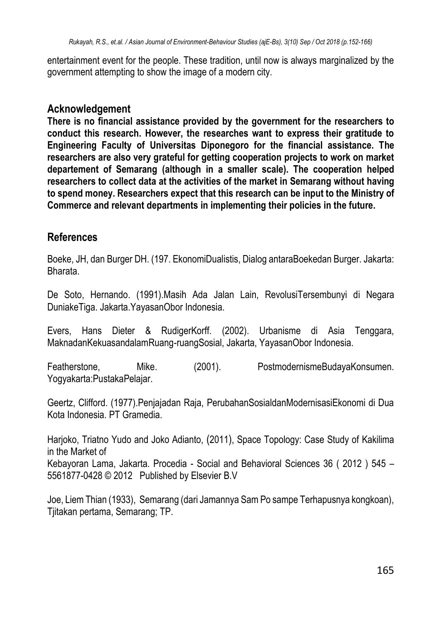entertainment event for the people. These tradition, until now is always marginalized by the government attempting to show the image of a modern city.

### **Acknowledgement**

**There is no financial assistance provided by the government for the researchers to conduct this research. However, the researches want to express their gratitude to Engineering Faculty of Universitas Diponegoro for the financial assistance. The researchers are also very grateful for getting cooperation projects to work on market departement of Semarang (although in a smaller scale). The cooperation helped researchers to collect data at the activities of the market in Semarang without having to spend money. Researchers expect that this research can be input to the Ministry of Commerce and relevant departments in implementing their policies in the future.**

### **References**

Boeke, JH, dan Burger DH. (197. EkonomiDualistis, Dialog antaraBoekedan Burger. Jakarta: Bharata.

De Soto, Hernando. (1991).Masih Ada Jalan Lain, RevolusiTersembunyi di Negara DuniakeTiga. Jakarta.YayasanObor Indonesia.

Evers, Hans Dieter & RudigerKorff. (2002). Urbanisme di Asia Tenggara, MaknadanKekuasandalamRuang-ruangSosial, Jakarta, YayasanObor Indonesia.

Featherstone, Mike. (2001). PostmodernismeBudayaKonsumen. Yogyakarta:PustakaPelajar.

Geertz, Clifford. (1977).Penjajadan Raja, PerubahanSosialdanModernisasiEkonomi di Dua Kota Indonesia. PT Gramedia.

Harjoko, Triatno Yudo and Joko Adianto, (2011), Space Topology: Case Study of Kakilima in the Market of Kebayoran Lama, Jakarta. Procedia - Social and Behavioral Sciences 36 ( 2012 ) 545 – 5561877-0428 © 2012 Published by Elsevier B.V

Joe, Liem Thian (1933), Semarang (dari Jamannya Sam Po sampe Terhapusnya kongkoan), Tjitakan pertama, Semarang; TP.